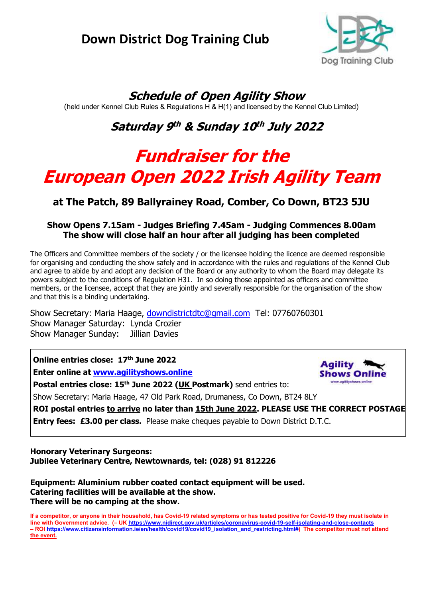# **Down District Dog Training Club**



**Shows Onli** www.agilityshows.onlin

# **Schedule of Open Agility Show**

(held under Kennel Club Rules & Regulations H & H(1) and licensed by the Kennel Club Limited)

# **Saturday 9 th & Sunday 10 th July 2022**

# **Fundraiser for the European Open 2022 Irish Agility Team**

# **at The Patch, 89 Ballyrainey Road, Comber, Co Down, BT23 5JU**

## **Show Opens 7.15am - Judges Briefing 7.45am - Judging Commences 8.00am The show will close half an hour after all judging has been completed**

The Officers and Committee members of the society / or the licensee holding the licence are deemed responsible for organising and conducting the show safely and in accordance with the rules and regulations of the Kennel Club and agree to abide by and adopt any decision of the Board or any authority to whom the Board may delegate its powers subject to the conditions of Regulation H31. In so doing those appointed as officers and committee members, or the licensee, accept that they are jointly and severally responsible for the organisation of the show and that this is a binding undertaking.

Show Secretary: Maria Haage, [downdistrictdtc@gmail.com](mailto:downdistrictdtc@gmail.com) Tel: 07760760301 Show Manager Saturday: Lynda Crozier Show Manager Sunday: Jillian Davies

**Online entries close: 17 th June 2022 Enter online at [www.agilityshows.online](http://www.agilityshows.online/)**

**Postal entries close: 15 th June 2022 (UK Postmark)** send entries to:

Show Secretary: Maria Haage, 47 Old Park Road, Drumaness, Co Down, BT24 8LY

**ROI postal entries to arrive no later than 15th June 2022. PLEASE USE THE CORRECT POSTAGE .**

**Entry fees: £3.00 per class.** Please make cheques payable to Down District D.T.C.

**Honorary Veterinary Surgeons: Jubilee Veterinary Centre, Newtownards, tel: (028) 91 812226**

**Equipment: Aluminium rubber coated contact equipment will be used. Catering facilities will be available at the show. There will be no camping at the show.**

**If a competitor, or anyone in their household, has Covid-19 related symptoms or has tested positive for Covid-19 they must isolate in line with Government advice. (– UK <https://www.nidirect.gov.uk/articles/coronavirus-covid-19-self-isolating-and-close-contacts> – ROI [https://www.citizensinformation.ie/en/health/covid19/covid19\\_isolation\\_and\\_restricting.html#\)](https://www.citizensinformation.ie/en/health/covid19/covid19_isolation_and_restricting.html) The competitor must not attend the event.**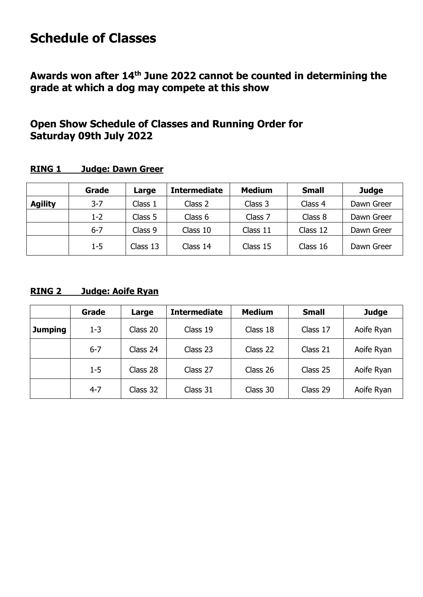# **Schedule of Classes**

**Awards won after 14 th June 2022 cannot be counted in determining the grade at which a dog may compete at this show**

# **Open Show Schedule of Classes and Running Order for Saturday 09th July 2022**

# **RING 1 Judge: Dawn Greer**

|                | Grade   | Large    | <b>Intermediate</b> | <b>Medium</b> | <b>Small</b> | <b>Judge</b> |
|----------------|---------|----------|---------------------|---------------|--------------|--------------|
| <b>Agility</b> | $3 - 7$ | Class 1  | Class 2             | Class 3       | Class 4      | Dawn Greer   |
|                | $1 - 2$ | Class 5  | Class 6             | Class 7       | Class 8      | Dawn Greer   |
|                | $6 - 7$ | Class 9  | Class 10            | Class 11      | Class 12     | Dawn Greer   |
|                | $1 - 5$ | Class 13 | Class 14            | Class 15      | Class 16     | Dawn Greer   |

# **RING 2 Judge: Aoife Ryan**

|         | Grade   | Large    | <b>Intermediate</b> | <b>Medium</b> | <b>Small</b> | <b>Judge</b> |
|---------|---------|----------|---------------------|---------------|--------------|--------------|
| Jumping | $1 - 3$ | Class 20 | Class 19            | Class 18      | Class 17     | Aoife Ryan   |
|         | $6 - 7$ | Class 24 | Class 23            | Class 22      | Class 21     | Aoife Ryan   |
|         | $1-5$   | Class 28 | Class 27            | Class 26      | Class 25     | Aoife Ryan   |
|         | $4 - 7$ | Class 32 | Class 31            | Class 30      | Class 29     | Aoife Ryan   |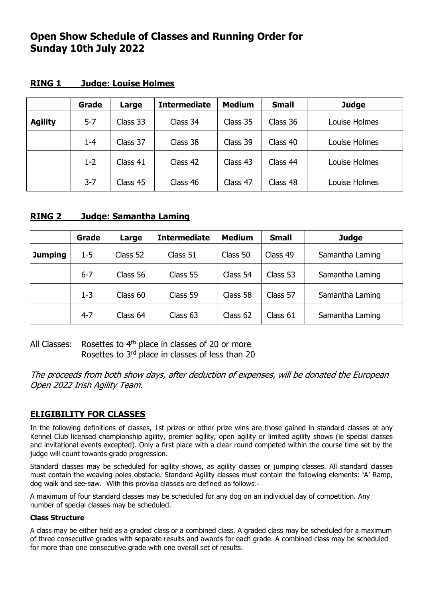# **Open Show Schedule of Classes and Running Order for Sunday 10th July 2022**

|                | Grade   | Large    | <b>Intermediate</b> | <b>Medium</b> | <b>Small</b> | <b>Judge</b>  |
|----------------|---------|----------|---------------------|---------------|--------------|---------------|
| <b>Agility</b> | $5 - 7$ | Class 33 | Class 34            | Class 35      | Class 36     | Louise Holmes |
|                | $1 - 4$ | Class 37 | Class 38            | Class 39      | Class 40     | Louise Holmes |
|                | $1 - 2$ | Class 41 | Class 42            | Class 43      | Class 44     | Louise Holmes |
|                | $3 - 7$ | Class 45 | Class 46            | Class 47      | Class 48     | Louise Holmes |

### **RING 1 Judge: Louise Holmes**

### **RING 2 Judge: Samantha Laming**

|                | <b>Grade</b> | Large    | <b>Intermediate</b> | <b>Medium</b>        | <b>Small</b> | <b>Judge</b>    |
|----------------|--------------|----------|---------------------|----------------------|--------------|-----------------|
| <b>Jumping</b> | $1 - 5$      | Class 52 | Class 51            | Class 50<br>Class 49 |              | Samantha Laming |
|                | $6 - 7$      | Class 56 | Class 55            | Class 54             | Class 53     | Samantha Laming |
|                | $1 - 3$      | Class 60 | Class 59            | Class 58             | Class 57     | Samantha Laming |
|                | $4 - 7$      | Class 64 | Class 63            | Class 62             | Class 61     | Samantha Laming |

All Classes: Rosettes to  $4<sup>th</sup>$  place in classes of 20 or more Rosettes to 3rd place in classes of less than 20

The proceeds from both show days, after deduction of expenses, will be donated the European Open 2022 Irish Agility Team.

## **ELIGIBILITY FOR CLASSES**

In the following definitions of classes, 1st prizes or other prize wins are those gained in standard classes at any Kennel Club licensed championship agility, premier agility, open agility or limited agility shows (ie special classes and invitational events excepted). Only a first place with a clear round competed within the course time set by the judge will count towards grade progression.

Standard classes may be scheduled for agility shows, as agility classes or jumping classes. All standard classes must contain the weaving poles obstacle. Standard Agility classes must contain the following elements: 'A' Ramp, dog walk and see-saw. With this proviso classes are defined as follows:-

A maximum of four standard classes may be scheduled for any dog on an individual day of competition. Any number of special classes may be scheduled.

#### **Class Structure**

A class may be either held as a graded class or a combined class. A graded class may be scheduled for a maximum of three consecutive grades with separate results and awards for each grade. A combined class may be scheduled for more than one consecutive grade with one overall set of results.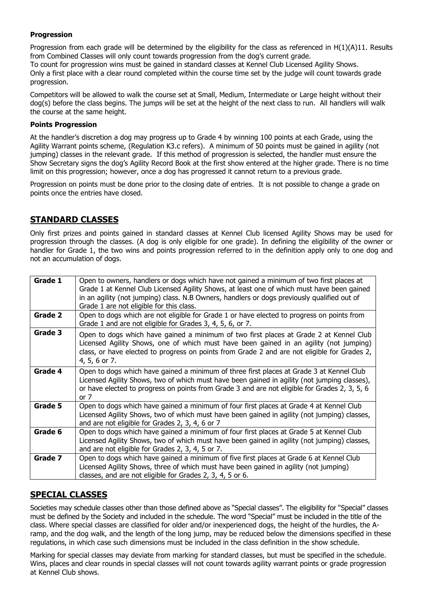#### **Progression**

Progression from each grade will be determined by the eligibility for the class as referenced in H(1)(A)11. Results from Combined Classes will only count towards progression from the dog's current grade. To count for progression wins must be gained in standard classes at Kennel Club Licensed Agility Shows. Only a first place with a clear round completed within the course time set by the judge will count towards grade progression.

Competitors will be allowed to walk the course set at Small, Medium, Intermediate or Large height without their dog(s) before the class begins. The jumps will be set at the height of the next class to run. All handlers will walk the course at the same height.

#### **Points Progression**

At the handler's discretion a dog may progress up to Grade 4 by winning 100 points at each Grade, using the Agility Warrant points scheme, (Regulation K3.c refers). A minimum of 50 points must be gained in agility (not jumping) classes in the relevant grade. If this method of progression is selected, the handler must ensure the Show Secretary signs the dog's Agility Record Book at the first show entered at the higher grade. There is no time limit on this progression; however, once a dog has progressed it cannot return to a previous grade.

Progression on points must be done prior to the closing date of entries. It is not possible to change a grade on points once the entries have closed.

### **STANDARD CLASSES**

Only first prizes and points gained in standard classes at Kennel Club licensed Agility Shows may be used for progression through the classes. (A dog is only eligible for one grade). In defining the eligibility of the owner or handler for Grade 1, the two wins and points progression referred to in the definition apply only to one dog and not an accumulation of dogs.

| Grade 1 | Open to owners, handlers or dogs which have not gained a minimum of two first places at<br>Grade 1 at Kennel Club Licensed Agility Shows, at least one of which must have been gained<br>in an agility (not jumping) class. N.B Owners, handlers or dogs previously qualified out of<br>Grade 1 are not eligible for this class. |
|---------|----------------------------------------------------------------------------------------------------------------------------------------------------------------------------------------------------------------------------------------------------------------------------------------------------------------------------------|
| Grade 2 | Open to dogs which are not eligible for Grade 1 or have elected to progress on points from<br>Grade 1 and are not eligible for Grades 3, 4, 5, 6, or 7.                                                                                                                                                                          |
| Grade 3 | Open to dogs which have gained a minimum of two first places at Grade 2 at Kennel Club<br>Licensed Agility Shows, one of which must have been gained in an agility (not jumping)<br>class, or have elected to progress on points from Grade 2 and are not eligible for Grades 2,<br>4, 5, 6 or 7.                                |
| Grade 4 | Open to dogs which have gained a minimum of three first places at Grade 3 at Kennel Club<br>Licensed Agility Shows, two of which must have been gained in agility (not jumping classes),<br>or have elected to progress on points from Grade 3 and are not eligible for Grades 2, 3, 5, 6<br>or $7$                              |
| Grade 5 | Open to dogs which have gained a minimum of four first places at Grade 4 at Kennel Club<br>Licensed Agility Shows, two of which must have been gained in agility (not jumping) classes,<br>and are not eligible for Grades 2, 3, 4, 6 or 7                                                                                       |
| Grade 6 | Open to dogs which have gained a minimum of four first places at Grade 5 at Kennel Club<br>Licensed Agility Shows, two of which must have been gained in agility (not jumping) classes,<br>and are not eligible for Grades 2, 3, 4, 5 or 7.                                                                                      |
| Grade 7 | Open to dogs which have gained a minimum of five first places at Grade 6 at Kennel Club<br>Licensed Agility Shows, three of which must have been gained in agility (not jumping)<br>classes, and are not eligible for Grades 2, 3, 4, 5 or 6.                                                                                    |

## **SPECIAL CLASSES**

Societies may schedule classes other than those defined above as "Special classes". The eligibility for "Special" classes must be defined by the Society and included in the schedule. The word "Special" must be included in the title of the class. Where special classes are classified for older and/or inexperienced dogs, the height of the hurdles, the Aramp, and the dog walk, and the length of the long jump, may be reduced below the dimensions specified in these regulations, in which case such dimensions must be included in the class definition in the show schedule.

Marking for special classes may deviate from marking for standard classes, but must be specified in the schedule. Wins, places and clear rounds in special classes will not count towards agility warrant points or grade progression at Kennel Club shows.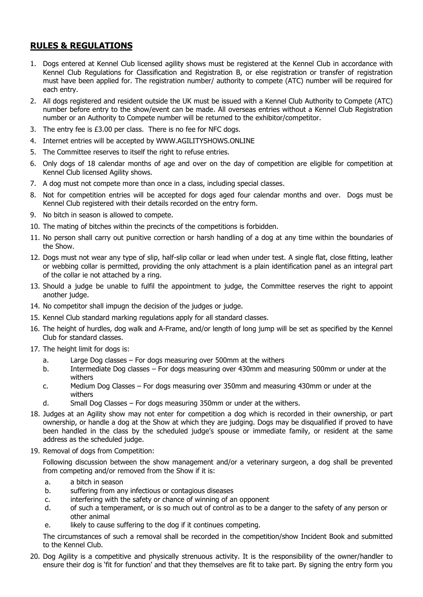# **RULES & REGULATIONS**

- 1. Dogs entered at Kennel Club licensed agility shows must be registered at the Kennel Club in accordance with Kennel Club Regulations for Classification and Registration B, or else registration or transfer of registration must have been applied for. The registration number/ authority to compete (ATC) number will be required for each entry.
- 2. All dogs registered and resident outside the UK must be issued with a Kennel Club Authority to Compete (ATC) number before entry to the show/event can be made. All overseas entries without a Kennel Club Registration number or an Authority to Compete number will be returned to the exhibitor/competitor.
- 3. The entry fee is £3.00 per class. There is no fee for NFC dogs.
- 4. Internet entries will be accepted by [WWW.AGILITYSHOWS.ONLINE](http://www.agilityshows.online/)
- 5. The Committee reserves to itself the right to refuse entries.
- 6. Only dogs of 18 calendar months of age and over on the day of competition are eligible for competition at Kennel Club licensed Agility shows.
- 7. A dog must not compete more than once in a class, including special classes.
- 8. Not for competition entries will be accepted for dogs aged four calendar months and over. Dogs must be Kennel Club registered with their details recorded on the entry form.
- 9. No bitch in season is allowed to compete.
- 10. The mating of bitches within the precincts of the competitions is forbidden.
- 11. No person shall carry out punitive correction or harsh handling of a dog at any time within the boundaries of the Show.
- 12. Dogs must not wear any type of slip, half-slip collar or lead when under test. A single flat, close fitting, leather or webbing collar is permitted, providing the only attachment is a plain identification panel as an integral part of the collar ie not attached by a ring.
- 13. Should a judge be unable to fulfil the appointment to judge, the Committee reserves the right to appoint another judge.
- 14. No competitor shall impugn the decision of the judges or judge.
- 15. Kennel Club standard marking regulations apply for all standard classes.
- 16. The height of hurdles, dog walk and A-Frame, and/or length of long jump will be set as specified by the Kennel Club for standard classes.
- 17. The height limit for dogs is:
	- a. Large Dog classes For dogs measuring over 500mm at the withers
	- b. Intermediate Dog classes For dogs measuring over 430mm and measuring 500mm or under at the withers
	- c. Medium Dog Classes For dogs measuring over 350mm and measuring 430mm or under at the withers
	- d. Small Dog Classes For dogs measuring 350mm or under at the withers.
- 18. Judges at an Agility show may not enter for competition a dog which is recorded in their ownership, or part ownership, or handle a dog at the Show at which they are judging. Dogs may be disqualified if proved to have been handled in the class by the scheduled judge's spouse or immediate family, or resident at the same address as the scheduled judge.
- 19. Removal of dogs from Competition:

Following discussion between the show management and/or a veterinary surgeon, a dog shall be prevented from competing and/or removed from the Show if it is:

- a. a bitch in season
- b. suffering from any infectious or contagious diseases
- c. interfering with the safety or chance of winning of an opponent
- d. of such a temperament, or is so much out of control as to be a danger to the safety of any person or other animal
- e. likely to cause suffering to the dog if it continues competing.

The circumstances of such a removal shall be recorded in the competition/show Incident Book and submitted to the Kennel Club.

20. Dog Agility is a competitive and physically strenuous activity. It is the responsibility of the owner/handler to ensure their dog is 'fit for function' and that they themselves are fit to take part. By signing the entry form you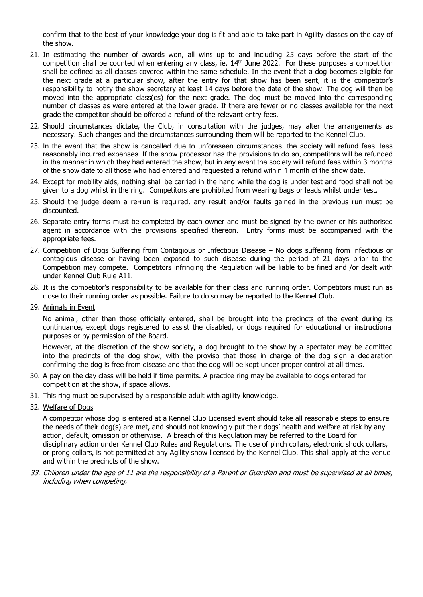confirm that to the best of your knowledge your dog is fit and able to take part in Agility classes on the day of the show.

- 21. In estimating the number of awards won, all wins up to and including 25 days before the start of the competition shall be counted when entering any class, ie,  $14<sup>th</sup>$  June 2022. For these purposes a competition shall be defined as all classes covered within the same schedule. In the event that a dog becomes eligible for the next grade at a particular show, after the entry for that show has been sent, it is the competitor's responsibility to notify the show secretary at least 14 days before the date of the show. The dog will then be moved into the appropriate class(es) for the next grade. The dog must be moved into the corresponding number of classes as were entered at the lower grade. If there are fewer or no classes available for the next grade the competitor should be offered a refund of the relevant entry fees.
- 22. Should circumstances dictate, the Club, in consultation with the judges, may alter the arrangements as necessary. Such changes and the circumstances surrounding them will be reported to the Kennel Club.
- 23. In the event that the show is cancelled due to unforeseen circumstances, the society will refund fees, less reasonably incurred expenses. If the show processor has the provisions to do so, competitors will be refunded in the manner in which they had entered the show, but in any event the society will refund fees within 3 months of the show date to all those who had entered and requested a refund within 1 month of the show date.
- 24. Except for mobility aids, nothing shall be carried in the hand while the dog is under test and food shall not be given to a dog whilst in the ring. Competitors are prohibited from wearing bags or leads whilst under test.
- 25. Should the judge deem a re-run is required, any result and/or faults gained in the previous run must be discounted.
- 26. Separate entry forms must be completed by each owner and must be signed by the owner or his authorised agent in accordance with the provisions specified thereon. Entry forms must be accompanied with the appropriate fees.
- 27. Competition of Dogs Suffering from Contagious or Infectious Disease No dogs suffering from infectious or contagious disease or having been exposed to such disease during the period of 21 days prior to the Competition may compete. Competitors infringing the Regulation will be liable to be fined and /or dealt with under Kennel Club Rule A11.
- 28. It is the competitor's responsibility to be available for their class and running order. Competitors must run as close to their running order as possible. Failure to do so may be reported to the Kennel Club.
- 29. Animals in Event

No animal, other than those officially entered, shall be brought into the precincts of the event during its continuance, except dogs registered to assist the disabled, or dogs required for educational or instructional purposes or by permission of the Board.

However, at the discretion of the show society, a dog brought to the show by a spectator may be admitted into the precincts of the dog show, with the proviso that those in charge of the dog sign a declaration confirming the dog is free from disease and that the dog will be kept under proper control at all times.

- 30. A pay on the day class will be held if time permits. A practice ring may be available to dogs entered for competition at the show, if space allows.
- 31. This ring must be supervised by a responsible adult with agility knowledge.
- 32. Welfare of Dogs

A competitor whose dog is entered at a Kennel Club Licensed event should take all reasonable steps to ensure the needs of their dog(s) are met, and should not knowingly put their dogs' health and welfare at risk by any action, default, omission or otherwise. A breach of this Regulation may be referred to the Board for disciplinary action under Kennel Club Rules and Regulations. The use of pinch collars, electronic shock collars, or prong collars, is not permitted at any Agility show licensed by the Kennel Club. This shall apply at the venue and within the precincts of the show.

33. Children under the age of 11 are the responsibility of a Parent or Guardian and must be supervised at all times, including when competing.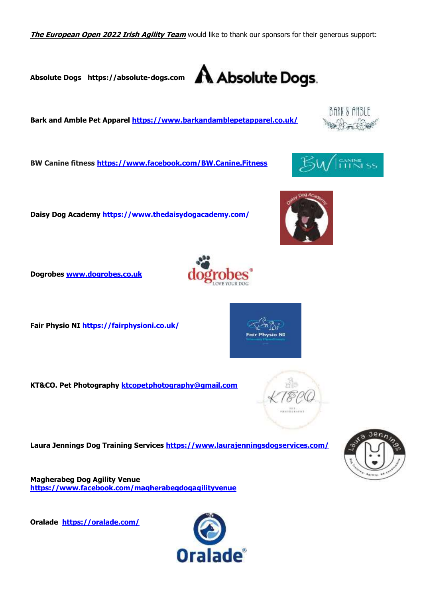**The European Open 2022 Irish Agility Team** would like to thank our sponsors for their generous support:

**Absolute Dogs [https://absolute-dogs.com](https://absolute-dogs.com/)**

**Bark and Amble Pet Apparel [https://www.barkandamblepetapparel.co.uk/](https://www.barkandamblepetapparel.co.uk/?fbclid=IwAR1Dy34zGFvwlvHMloHFJdqI9qM8iXo_oYHhsvXY-6A3oHkaM0ATfAh3yp0)**

**BW Canine fitness <https://www.facebook.com/BW.Canine.Fitness>**

**Daisy Dog Academy <https://www.thedaisydogacademy.com/>**

**Dogrobes [www.dogrobes.co.uk](http://www.dogrobes.co.uk/)**

**Fair Physio NI <https://fairphysioni.co.uk/>** 

**KT&CO. Pet Photography [ktcopetphotography@gmail.com](mailto:ktcopetphotography@gmail.com)** 

**Laura Jennings Dog Training Services <https://www.laurajenningsdogservices.com/>**

**Magherabeg Dog Agility Venue <https://www.facebook.com/magherabegdogagilityvenue>**

**Oralade <https://oralade.com/>**







hvsin NI





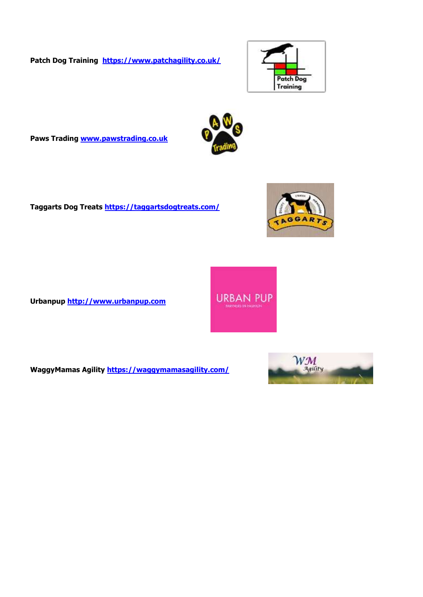**Patch Dog Training <https://www.patchagility.co.uk/>**



**Paws Trading [www.pawstrading.co.uk](http://www.pawstrading.co.uk/)**

**Taggarts Dog Treats<https://taggartsdogtreats.com/>**

**Urbanpup [http://www.urbanpup.com](http://www.urbanpup.com/)** 



**URBAN PUP** 

**WaggyMamas Agility <https://waggymamasagility.com/>**



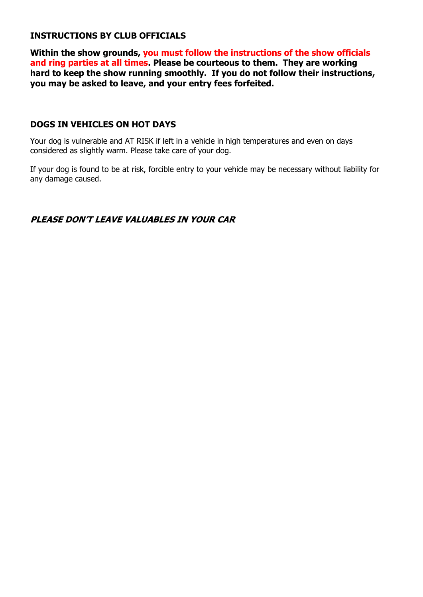## **INSTRUCTIONS BY CLUB OFFICIALS**

**Within the show grounds, you must follow the instructions of the show officials and ring parties at all times. Please be courteous to them. They are working hard to keep the show running smoothly. If you do not follow their instructions, you may be asked to leave, and your entry fees forfeited.** 

#### **DOGS IN VEHICLES ON HOT DAYS**

Your dog is vulnerable and AT RISK if left in a vehicle in high temperatures and even on days considered as slightly warm. Please take care of your dog.

If your dog is found to be at risk, forcible entry to your vehicle may be necessary without liability for any damage caused.

### **PLEASE DON'T LEAVE VALUABLES IN YOUR CAR**